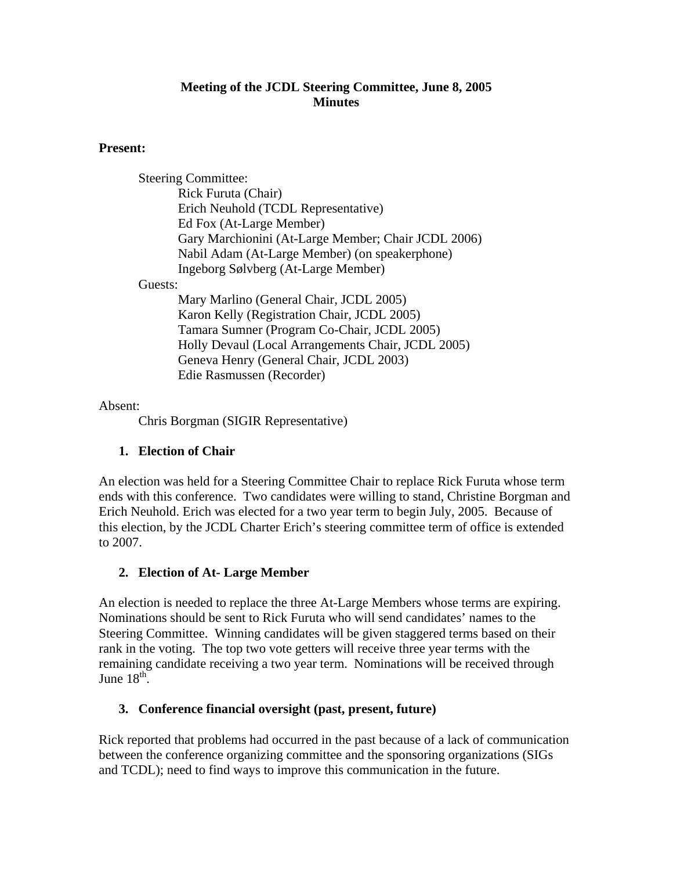## **Meeting of the JCDL Steering Committee, June 8, 2005 Minutes**

## **Present:**

Steering Committee: Rick Furuta (Chair) Erich Neuhold (TCDL Representative) Ed Fox (At-Large Member) Gary Marchionini (At-Large Member; Chair JCDL 2006) Nabil Adam (At-Large Member) (on speakerphone) Ingeborg Sølvberg (At-Large Member) Guests: Mary Marlino (General Chair, JCDL 2005) Karon Kelly (Registration Chair, JCDL 2005) Tamara Sumner (Program Co-Chair, JCDL 2005) Holly Devaul (Local Arrangements Chair, JCDL 2005) Geneva Henry (General Chair, JCDL 2003) Edie Rasmussen (Recorder)

Absent:

Chris Borgman (SIGIR Representative)

# **1. Election of Chair**

An election was held for a Steering Committee Chair to replace Rick Furuta whose term ends with this conference. Two candidates were willing to stand, Christine Borgman and Erich Neuhold. Erich was elected for a two year term to begin July, 2005. Because of this election, by the JCDL Charter Erich's steering committee term of office is extended to 2007.

# **2. Election of At- Large Member**

An election is needed to replace the three At-Large Members whose terms are expiring. Nominations should be sent to Rick Furuta who will send candidates' names to the Steering Committee. Winning candidates will be given staggered terms based on their rank in the voting. The top two vote getters will receive three year terms with the remaining candidate receiving a two year term. Nominations will be received through June  $18^{th}$ .

# **3. Conference financial oversight (past, present, future)**

Rick reported that problems had occurred in the past because of a lack of communication between the conference organizing committee and the sponsoring organizations (SIGs and TCDL); need to find ways to improve this communication in the future.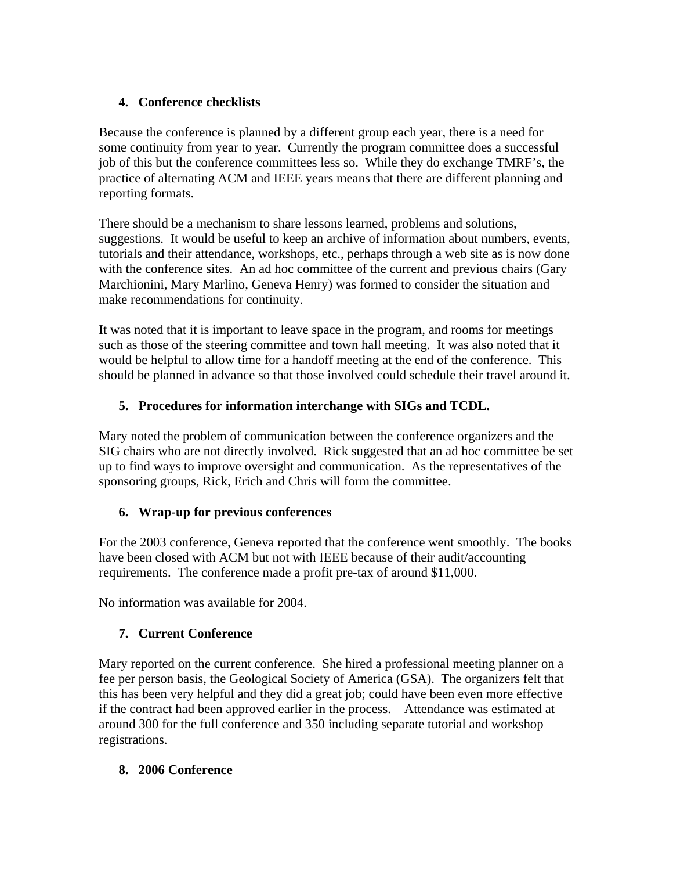# **4. Conference checklists**

Because the conference is planned by a different group each year, there is a need for some continuity from year to year. Currently the program committee does a successful job of this but the conference committees less so. While they do exchange TMRF's, the practice of alternating ACM and IEEE years means that there are different planning and reporting formats.

There should be a mechanism to share lessons learned, problems and solutions, suggestions. It would be useful to keep an archive of information about numbers, events, tutorials and their attendance, workshops, etc., perhaps through a web site as is now done with the conference sites. An ad hoc committee of the current and previous chairs (Gary Marchionini, Mary Marlino, Geneva Henry) was formed to consider the situation and make recommendations for continuity.

It was noted that it is important to leave space in the program, and rooms for meetings such as those of the steering committee and town hall meeting. It was also noted that it would be helpful to allow time for a handoff meeting at the end of the conference. This should be planned in advance so that those involved could schedule their travel around it.

# **5. Procedures for information interchange with SIGs and TCDL.**

Mary noted the problem of communication between the conference organizers and the SIG chairs who are not directly involved. Rick suggested that an ad hoc committee be set up to find ways to improve oversight and communication. As the representatives of the sponsoring groups, Rick, Erich and Chris will form the committee.

# **6. Wrap-up for previous conferences**

For the 2003 conference, Geneva reported that the conference went smoothly. The books have been closed with ACM but not with IEEE because of their audit/accounting requirements. The conference made a profit pre-tax of around \$11,000.

No information was available for 2004.

# **7. Current Conference**

Mary reported on the current conference. She hired a professional meeting planner on a fee per person basis, the Geological Society of America (GSA). The organizers felt that this has been very helpful and they did a great job; could have been even more effective if the contract had been approved earlier in the process. Attendance was estimated at around 300 for the full conference and 350 including separate tutorial and workshop registrations.

# **8. 2006 Conference**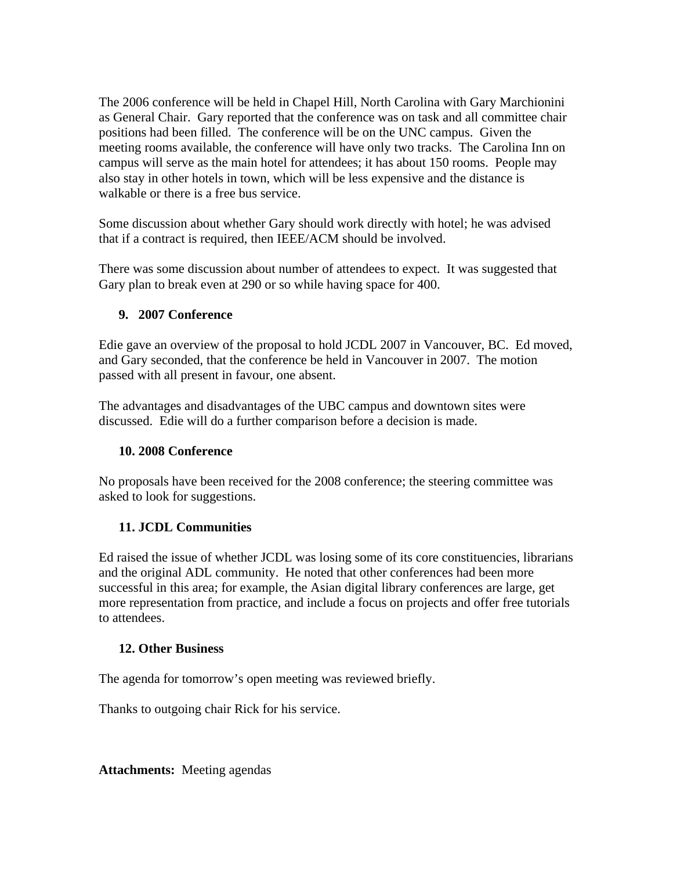The 2006 conference will be held in Chapel Hill, North Carolina with Gary Marchionini as General Chair. Gary reported that the conference was on task and all committee chair positions had been filled. The conference will be on the UNC campus. Given the meeting rooms available, the conference will have only two tracks. The Carolina Inn on campus will serve as the main hotel for attendees; it has about 150 rooms. People may also stay in other hotels in town, which will be less expensive and the distance is walkable or there is a free bus service.

Some discussion about whether Gary should work directly with hotel; he was advised that if a contract is required, then IEEE/ACM should be involved.

There was some discussion about number of attendees to expect. It was suggested that Gary plan to break even at 290 or so while having space for 400.

## **9. 2007 Conference**

Edie gave an overview of the proposal to hold JCDL 2007 in Vancouver, BC. Ed moved, and Gary seconded, that the conference be held in Vancouver in 2007. The motion passed with all present in favour, one absent.

The advantages and disadvantages of the UBC campus and downtown sites were discussed. Edie will do a further comparison before a decision is made.

## **10. 2008 Conference**

No proposals have been received for the 2008 conference; the steering committee was asked to look for suggestions.

## **11. JCDL Communities**

Ed raised the issue of whether JCDL was losing some of its core constituencies, librarians and the original ADL community. He noted that other conferences had been more successful in this area; for example, the Asian digital library conferences are large, get more representation from practice, and include a focus on projects and offer free tutorials to attendees.

## **12. Other Business**

The agenda for tomorrow's open meeting was reviewed briefly.

Thanks to outgoing chair Rick for his service.

**Attachments:** Meeting agendas